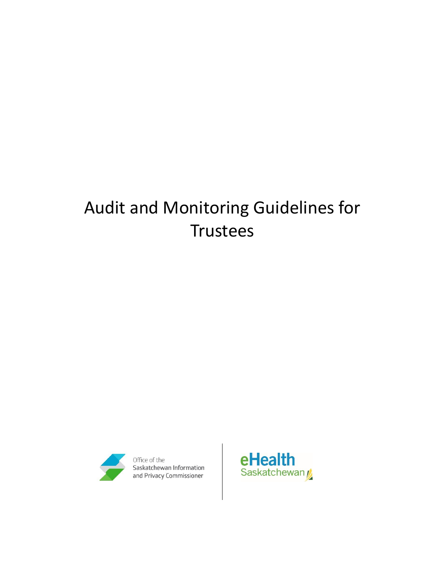# Audit and Monitoring Guidelines for **Trustees**



Office of the Saskatchewan Information<br>and Privacy Commissioner

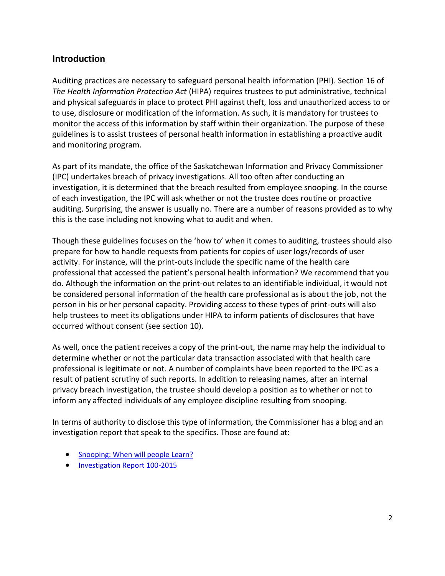## **Introduction**

Auditing practices are necessary to safeguard personal health information (PHI). Section 16 of *The Health Information Protection Act* (HIPA) requires trustees to put administrative, technical and physical safeguards in place to protect PHI against theft, loss and unauthorized access to or to use, disclosure or modification of the information. As such, it is mandatory for trustees to monitor the access of this information by staff within their organization. The purpose of these guidelines is to assist trustees of personal health information in establishing a proactive audit and monitoring program.

As part of its mandate, the office of the Saskatchewan Information and Privacy Commissioner (IPC) undertakes breach of privacy investigations. All too often after conducting an investigation, it is determined that the breach resulted from employee snooping. In the course of each investigation, the IPC will ask whether or not the trustee does routine or proactive auditing. Surprising, the answer is usually no. There are a number of reasons provided as to why this is the case including not knowing what to audit and when.

Though these guidelines focuses on the 'how to' when it comes to auditing, trustees should also prepare for how to handle requests from patients for copies of user logs/records of user activity. For instance, will the print-outs include the specific name of the health care professional that accessed the patient's personal health information? We recommend that you do. Although the information on the print-out relates to an identifiable individual, it would not be considered personal information of the health care professional as is about the job, not the person in his or her personal capacity. Providing access to these types of print-outs will also help trustees to meet its obligations under HIPA to inform patients of disclosures that have occurred without consent (see section 10).

As well, once the patient receives a copy of the print-out, the name may help the individual to determine whether or not the particular data transaction associated with that health care professional is legitimate or not. A number of complaints have been reported to the IPC as a result of patient scrutiny of such reports. In addition to releasing names, after an internal privacy breach investigation, the trustee should develop a position as to whether or not to inform any affected individuals of any employee discipline resulting from snooping.

In terms of authority to disclose this type of information, the Commissioner has a blog and an investigation report that speak to the specifics. Those are found at:

- Snooping: [When will people Learn?](https://oipc.sk.ca/snooping-when-will-people-learn/)
- [Investigation Report 100-2015](https://oipc.sk.ca/assets/hipa-investigation-100-2015.pdf)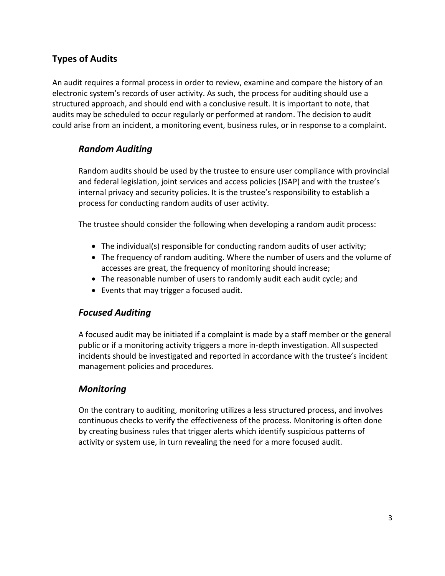## **Types of Audits**

An audit requires a formal process in order to review, examine and compare the history of an electronic system's records of user activity. As such, the process for auditing should use a structured approach, and should end with a conclusive result. It is important to note, that audits may be scheduled to occur regularly or performed at random. The decision to audit could arise from an incident, a monitoring event, business rules, or in response to a complaint.

### *Random Auditing*

Random audits should be used by the trustee to ensure user compliance with provincial and federal legislation, joint services and access policies (JSAP) and with the trustee's internal privacy and security policies. It is the trustee's responsibility to establish a process for conducting random audits of user activity.

The trustee should consider the following when developing a random audit process:

- The individual(s) responsible for conducting random audits of user activity;
- The frequency of random auditing. Where the number of users and the volume of accesses are great, the frequency of monitoring should increase;
- The reasonable number of users to randomly audit each audit cycle; and
- Events that may trigger a focused audit.

#### *Focused Auditing*

A focused audit may be initiated if a complaint is made by a staff member or the general public or if a monitoring activity triggers a more in-depth investigation. All suspected incidents should be investigated and reported in accordance with the trustee's incident management policies and procedures.

#### *Monitoring*

On the contrary to auditing, monitoring utilizes a less structured process, and involves continuous checks to verify the effectiveness of the process. Monitoring is often done by creating business rules that trigger alerts which identify suspicious patterns of activity or system use, in turn revealing the need for a more focused audit.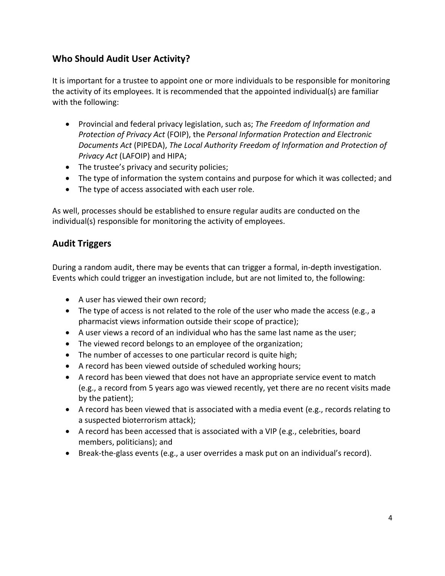## **Who Should Audit User Activity?**

It is important for a trustee to appoint one or more individuals to be responsible for monitoring the activity of its employees. It is recommended that the appointed individual(s) are familiar with the following:

- Provincial and federal privacy legislation, such as; *The Freedom of Information and Protection of Privacy Act* (FOIP), the *Personal Information Protection and Electronic Documents Act* (PIPEDA), *The Local Authority Freedom of Information and Protection of Privacy Act* (LAFOIP) and HIPA;
- The trustee's privacy and security policies;
- The type of information the system contains and purpose for which it was collected; and
- The type of access associated with each user role.

As well, processes should be established to ensure regular audits are conducted on the individual(s) responsible for monitoring the activity of employees.

## **Audit Triggers**

During a random audit, there may be events that can trigger a formal, in-depth investigation. Events which could trigger an investigation include, but are not limited to, the following:

- A user has viewed their own record;
- The type of access is not related to the role of the user who made the access (e.g., a pharmacist views information outside their scope of practice);
- A user views a record of an individual who has the same last name as the user;
- The viewed record belongs to an employee of the organization;
- The number of accesses to one particular record is quite high;
- A record has been viewed outside of scheduled working hours;
- A record has been viewed that does not have an appropriate service event to match (e.g., a record from 5 years ago was viewed recently, yet there are no recent visits made by the patient);
- A record has been viewed that is associated with a media event (e.g., records relating to a suspected bioterrorism attack);
- A record has been accessed that is associated with a VIP (e.g., celebrities, board members, politicians); and
- Break-the-glass events (e.g., a user overrides a mask put on an individual's record).